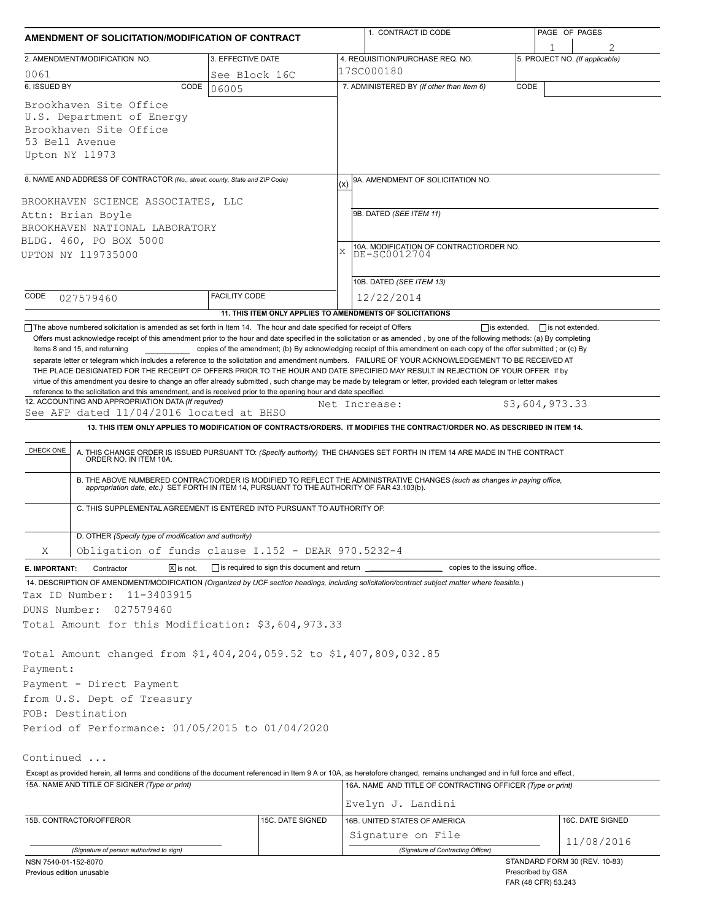| AMENDMENT OF SOLICITATION/MODIFICATION OF CONTRACT                                                                                                                                                                                                                                                                                                                                                                                                                                                                       |                                              |               | 1. CONTRACT ID CODE                                                                                                                                                                                                   |                   | PAGE OF PAGES                 |  |  |  |
|--------------------------------------------------------------------------------------------------------------------------------------------------------------------------------------------------------------------------------------------------------------------------------------------------------------------------------------------------------------------------------------------------------------------------------------------------------------------------------------------------------------------------|----------------------------------------------|---------------|-----------------------------------------------------------------------------------------------------------------------------------------------------------------------------------------------------------------------|-------------------|-------------------------------|--|--|--|
| 2. AMENDMENT/MODIFICATION NO.                                                                                                                                                                                                                                                                                                                                                                                                                                                                                            | 3. EFFECTIVE DATE                            |               | 4. REQUISITION/PURCHASE REQ. NO.                                                                                                                                                                                      |                   | 1                             |  |  |  |
| 0061                                                                                                                                                                                                                                                                                                                                                                                                                                                                                                                     | 5. PROJECT NO. (If applicable)<br>17SC000180 |               |                                                                                                                                                                                                                       |                   |                               |  |  |  |
| 6. ISSUED BY<br>CODE                                                                                                                                                                                                                                                                                                                                                                                                                                                                                                     | See Block 16C<br>06005                       |               | 7. ADMINISTERED BY (If other than Item 6)                                                                                                                                                                             | CODE              |                               |  |  |  |
| Brookhaven Site Office<br>U.S. Department of Energy<br>Brookhaven Site Office<br>53 Bell Avenue<br>Upton NY 11973                                                                                                                                                                                                                                                                                                                                                                                                        |                                              |               |                                                                                                                                                                                                                       |                   |                               |  |  |  |
| 8. NAME AND ADDRESS OF CONTRACTOR (No., street, county, State and ZIP Code)                                                                                                                                                                                                                                                                                                                                                                                                                                              |                                              | (x)           | 9A. AMENDMENT OF SOLICITATION NO.                                                                                                                                                                                     |                   |                               |  |  |  |
|                                                                                                                                                                                                                                                                                                                                                                                                                                                                                                                          |                                              |               |                                                                                                                                                                                                                       |                   |                               |  |  |  |
| BROOKHAVEN SCIENCE ASSOCIATES, LLC<br>Attn: Brian Boyle<br>BROOKHAVEN NATIONAL LABORATORY<br>BLDG. 460, PO BOX 5000<br>UPTON NY 119735000                                                                                                                                                                                                                                                                                                                                                                                |                                              |               | 9B. DATED (SEE ITEM 11)<br>10A. MODIFICATION OF CONTRACT/ORDER NO.<br>X<br>DE-SC0012704                                                                                                                               |                   |                               |  |  |  |
|                                                                                                                                                                                                                                                                                                                                                                                                                                                                                                                          |                                              |               |                                                                                                                                                                                                                       |                   |                               |  |  |  |
| CODE<br>027579460                                                                                                                                                                                                                                                                                                                                                                                                                                                                                                        | <b>FACILITY CODE</b>                         |               | 12/22/2014                                                                                                                                                                                                            |                   |                               |  |  |  |
|                                                                                                                                                                                                                                                                                                                                                                                                                                                                                                                          |                                              |               | 11. THIS ITEM ONLY APPLIES TO AMENDMENTS OF SOLICITATIONS                                                                                                                                                             |                   |                               |  |  |  |
| THE PLACE DESIGNATED FOR THE RECEIPT OF OFFERS PRIOR TO THE HOUR AND DATE SPECIFIED MAY RESULT IN REJECTION OF YOUR OFFER If by<br>virtue of this amendment you desire to change an offer already submitted, such change may be made by telegram or letter, provided each telegram or letter makes<br>reference to the solicitation and this amendment, and is received prior to the opening hour and date specified.<br>12. ACCOUNTING AND APPROPRIATION DATA (If required)<br>See AFP dated 11/04/2016 located at BHSO |                                              | Net Increase: |                                                                                                                                                                                                                       |                   | \$3,604,973.33                |  |  |  |
|                                                                                                                                                                                                                                                                                                                                                                                                                                                                                                                          |                                              |               | 13. THIS ITEM ONLY APPLIES TO MODIFICATION OF CONTRACTS/ORDERS. IT MODIFIES THE CONTRACT/ORDER NO. AS DESCRIBED IN ITEM 14.                                                                                           |                   |                               |  |  |  |
| CHECK ONE                                                                                                                                                                                                                                                                                                                                                                                                                                                                                                                |                                              |               | A. THIS CHANGE ORDER IS ISSUED PURSUANT TO: (Specify authority) THE CHANGES SET FORTH IN ITEM 14 ARE MADE IN THE CONTRACT ORDER NO. IN ITEM 10A.                                                                      |                   |                               |  |  |  |
|                                                                                                                                                                                                                                                                                                                                                                                                                                                                                                                          |                                              |               | B. THE ABOVE NUMBERED CONTRACT/ORDER IS MODIFIED TO REFLECT THE ADMINISTRATIVE CHANGES (such as changes in paying office, appropriation date, etc.) SET FORTH IN ITEM 14, PURSUANT TO THE AUTHORITY OF FAR 43.103(b). |                   |                               |  |  |  |
| C. THIS SUPPLEMENTAL AGREEMENT IS ENTERED INTO PURSUANT TO AUTHORITY OF:                                                                                                                                                                                                                                                                                                                                                                                                                                                 |                                              |               |                                                                                                                                                                                                                       |                   |                               |  |  |  |
| D. OTHER (Specify type of modification and authority)<br>Obligation of funds clause I.152 - DEAR 970.5232-4<br>Χ                                                                                                                                                                                                                                                                                                                                                                                                         |                                              |               |                                                                                                                                                                                                                       |                   |                               |  |  |  |
| $\boxed{\mathsf{X}}$ is not.<br>E. IMPORTANT:<br>Contractor                                                                                                                                                                                                                                                                                                                                                                                                                                                              | is required to sign this document and return |               | copies to the issuing office.                                                                                                                                                                                         |                   |                               |  |  |  |
| 14. DESCRIPTION OF AMENDMENT/MODIFICATION (Organized by UCF section headings, including solicitation/contract subject matter where feasible.)<br>Tax ID Number:<br>11-3403915<br>DUNS Number:<br>027579460                                                                                                                                                                                                                                                                                                               |                                              |               |                                                                                                                                                                                                                       |                   |                               |  |  |  |
| Total Amount for this Modification: \$3,604,973.33                                                                                                                                                                                                                                                                                                                                                                                                                                                                       |                                              |               |                                                                                                                                                                                                                       |                   |                               |  |  |  |
| Total Amount changed from \$1,404,204,059.52 to \$1,407,809,032.85<br>Payment:<br>Payment - Direct Payment                                                                                                                                                                                                                                                                                                                                                                                                               |                                              |               |                                                                                                                                                                                                                       |                   |                               |  |  |  |
| from U.S. Dept of Treasury                                                                                                                                                                                                                                                                                                                                                                                                                                                                                               |                                              |               |                                                                                                                                                                                                                       |                   |                               |  |  |  |
| FOB: Destination                                                                                                                                                                                                                                                                                                                                                                                                                                                                                                         |                                              |               |                                                                                                                                                                                                                       |                   |                               |  |  |  |
| Period of Performance: 01/05/2015 to 01/04/2020                                                                                                                                                                                                                                                                                                                                                                                                                                                                          |                                              |               |                                                                                                                                                                                                                       |                   |                               |  |  |  |
| Continued                                                                                                                                                                                                                                                                                                                                                                                                                                                                                                                |                                              |               |                                                                                                                                                                                                                       |                   |                               |  |  |  |
| Except as provided herein, all terms and conditions of the document referenced in Item 9 A or 10A, as heretofore changed, remains unchanged and in full force and effect.                                                                                                                                                                                                                                                                                                                                                |                                              |               |                                                                                                                                                                                                                       |                   |                               |  |  |  |
| 15A. NAME AND TITLE OF SIGNER (Type or print)                                                                                                                                                                                                                                                                                                                                                                                                                                                                            |                                              |               | 16A. NAME AND TITLE OF CONTRACTING OFFICER (Type or print)<br>Evelyn J. Landini                                                                                                                                       |                   |                               |  |  |  |
| 15B. CONTRACTOR/OFFEROR                                                                                                                                                                                                                                                                                                                                                                                                                                                                                                  | 15C. DATE SIGNED                             |               | 16B. UNITED STATES OF AMERICA                                                                                                                                                                                         |                   | 16C. DATE SIGNED              |  |  |  |
|                                                                                                                                                                                                                                                                                                                                                                                                                                                                                                                          |                                              |               | Signature on File                                                                                                                                                                                                     |                   |                               |  |  |  |
| (Signature of person authorized to sign)                                                                                                                                                                                                                                                                                                                                                                                                                                                                                 |                                              |               | (Signature of Contracting Officer)                                                                                                                                                                                    |                   | 11/08/2016                    |  |  |  |
| NSN 7540-01-152-8070<br>Previous edition unusable                                                                                                                                                                                                                                                                                                                                                                                                                                                                        |                                              |               |                                                                                                                                                                                                                       | Prescribed by GSA | STANDARD FORM 30 (REV. 10-83) |  |  |  |

FAR (48 CFR) 53.243